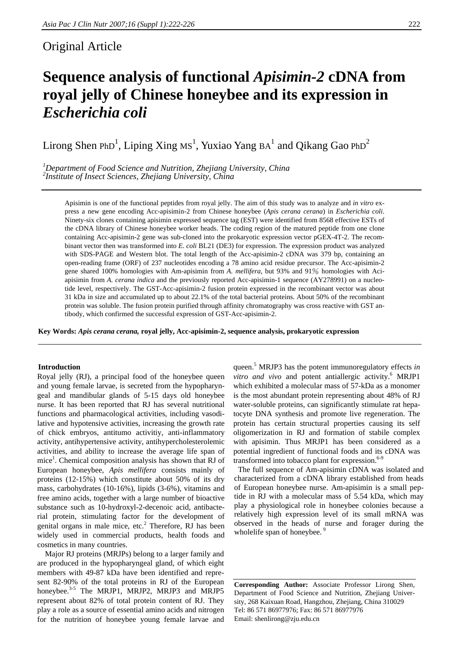# Original Article

# **Sequence analysis of functional** *Apisimin-2* **cDNA from royal jelly of Chinese honeybee and its expression in**  *Escherichia coli*

Lirong Shen PhD<sup>1</sup>, Liping Xing Ms<sup>1</sup>, Yuxiao Yang BA<sup>1</sup> and Qikang Gao PhD<sup>2</sup>

<sup>1</sup>Department of Food Science and Nutrition, Zhejiang University, China <sup>2</sup><br><sup>2</sup>Institute of Insect Sciences, Zhejiang University, China *Institute of Insect Sciences, Zhejiang University, China* 

Apisimin is one of the functional peptides from royal jelly. The aim of this study was to analyze and *in vitro* express a new gene encoding Acc-apisimin-2 from Chinese honeybee (*Apis cerana cerana*) in *Escherichia coli*. Ninety-six clones containing apisimin expressed sequence tag (EST) were identified from 8568 effective ESTs of the cDNA library of Chinese honeybee worker heads. The coding region of the matured peptide from one clone containing Acc-apisimin-2 gene was sub-cloned into the prokaryotic expression vector pGEX-4T-2. The recombinant vector then was transformed into *E. coli* BL21 (DE3) for expression. The expression product was analyzed with SDS-PAGE and Western blot. The total length of the Acc-apisimin-2 cDNA was 379 bp, containing an open-reading frame (ORF) of 237 nucleotides encoding a 78 amino acid residue precursor. The Acc-apisimin-2 gene shared 100% homologies with Am-apisimin from *A. mellifera*, but 93% and 91% homologies with Aciapisimin from *A. cerana indica* and the previously reported Acc-apisimin-1 sequence (AY278991) on a nucleotide level, respectively. The GST-Acc-apisimin-2 fusion protein expressed in the recombinant vector was about 31 kDa in size and accumulated up to about 22.1% of the total bacterial proteins. About 50% of the recombinant protein was soluble. The fusion protein purified through affinity chromatography was cross reactive with GST antibody, which confirmed the successful expression of GST-Acc-apisimin-2.

**Key Words:** *Apis cerana cerana,* **royal jelly, Acc-apisimin-2, sequence analysis, prokaryotic expression** 

# **Introduction**

Royal jelly (RJ), a principal food of the honeybee queen and young female larvae, is secreted from the hypopharyngeal and mandibular glands of 5-15 days old honeybee nurse. It has been reported that RJ has several nutritional functions and pharmacological activities, including vasodilative and hypotensive activities, increasing the growth rate of chick embryos, antitumo activitiy, anti-inflammatory activity, antihypertensive activity, antihypercholesterolemic activities, and ability to increase the average life span of mice<sup>1</sup>. Chemical composition analysis has shown that RJ of European honeybee, *Apis mellifera* consists mainly of proteins (12-15%) which constitute about 50% of its dry mass, carbohydrates (10-16%), lipids (3-6%), vitamins and free amino acids, together with a large number of bioactive substance such as 10-hydroxyl-2-decenoic acid, antibacterial protein, stimulating factor for the development of genital organs in male mice, etc.<sup>2</sup> Therefore, RJ has been widely used in commercial products, health foods and cosmetics in many countries.

Major RJ proteins (MRJPs) belong to a larger family and are produced in the hypopharyngeal gland, of which eight members with 49-87 kDa have been identified and represent 82-90% of the total proteins in RJ of the European honeybee.<sup>3-5</sup> The MRJP1, MRJP2, MRJP3 and MRJP5 represent about 82% of total protein content of RJ. They play a role as a source of essential amino acids and nitrogen for the nutrition of honeybee young female larvae and

queen.<sup>5</sup> MRJP3 has the potent immunoregulatory effects *in*  vitro and vivo and potent antiallergic activity.<sup>6</sup> MRJP1 which exhibited a molecular mass of 57-kDa as a monomer is the most abundant protein representing about 48% of RJ water-soluble proteins, can significantly stimulate rat hepatocyte DNA synthesis and promote live regeneration. The protein has certain structural properties causing its self oligomerization in RJ and formation of stabile complex with apisimin. Thus MRJP1 has been considered as a potential ingredient of functional foods and its cDNA was transformed into tobacco plant for expression. $6-9$ 

 The full sequence of Am-apisimin cDNA was isolated and characterized from a cDNA library established from heads of European honeybee nurse. Am-apisimin is a small peptide in RJ with a molecular mass of 5.54 kDa, which may play a physiological role in honeybee colonies because a relatively high expression level of its small mRNA was observed in the heads of nurse and forager during the wholelife span of honeybee.<sup>9</sup>

**Corresponding Author:** Associate Professor Lirong Shen, Department of Food Science and Nutrition, Zhejiang University, 268 Kaixuan Road, Hangzhou, Zhejiang, China 310029 Tel: 86 571 86977976; Fax: 86 571 86977976 Email: shenlirong@zju.edu.cn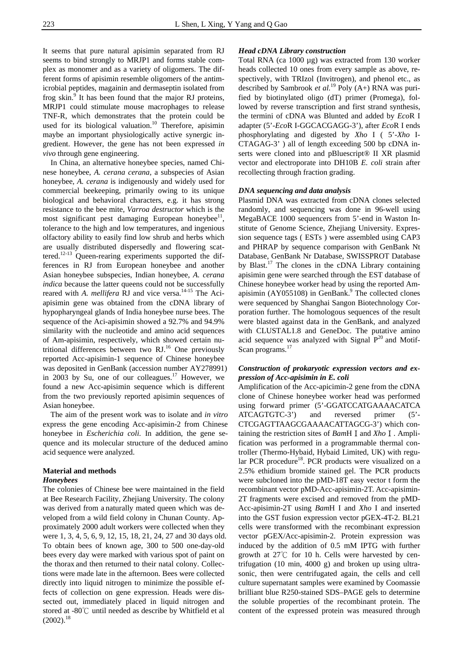It seems that pure natural apisimin separated from RJ seems to bind strongly to MRJP1 and forms stable complex as monomer and as a variety of oligomers. The different forms of apisimin resemble oligomers of the antimicrobial peptides, magainin and dermaseptin isolated from frog skin.<sup>9</sup> It has been found that the major RJ proteins, MRJP1 could stimulate mouse macrophages to release TNF-R, which demonstrates that the protein could be used for its biological valuation.<sup>10</sup> Therefore, apisimin maybe an important physiologically active synergic ingredient. However, the gene has not been expressed *in vivo* through gene engineering.

 In China, an alternative honeybee species, named Chinese honeybee, *A. cerana cerana,* a subspecies of Asian honeybee, *A. cerana* is indigenously and widely used for commercial beekeeping, primarily owing to its unique biological and behavioral characters, e.g. it has strong resistance to the bee mite, *Varroa destructor* which is the most significant pest damaging European honeybee<sup>11</sup>, tolerance to the high and low temperatures, and ingenious olfactory ability to easily find low shrub and herbs which are usually distributed dispersedly and flowering scattered.<sup>12-13</sup> Queen-rearing experiments supported the differences in RJ from European honeybee and another Asian honeybee subspecies, Indian honeybee, *A. cerana indica* because the latter queens could not be successfully reared with *A. mellifera* RJ and vice versa.<sup>14-15</sup> The Aciapisimin gene was obtained from the cDNA library of hypopharyngeal glands of India honeybee nurse bees. The sequence of the Aci-apisimin showed a 92.7% and 94.9% similarity with the nucleotide and amino acid sequences of Am*-*apisimin, respectively, which showed certain nutritional differences between two  $RJ<sup>16</sup>$  One previously reported Acc-apisimin-1 sequence of Chinese honeybee was deposited in GenBank (accession number AY278991) in 2003 by Su, one of our colleagues.<sup>17</sup> However, we found a new Acc-apisimin sequence which is different from the two previously reported apisimin sequences of Asian honeybee.

The aim of the present work was to isolate and *in vitro* express the gene encoding Acc-apisimin-2 from Chinese honeybee in *Escherichia coli.* In addition, the gene sequence and its molecular structure of the deduced amino acid sequence were analyzed.

# **Material and methods**

# *Honeybees*

The colonies of Chinese bee were maintained in the field at Bee Research Facility, Zhejiang University. The colony was derived from a naturally mated queen which was developed from a wild field colony in Chunan County. Approximately 2000 adult workers were collected when they were 1, 3, 4, 5, 6, 9, 12, 15, 18, 21, 24, 27 and 30 days old. To obtain bees of known age, 300 to 500 one-day-old bees every day were marked with various spot of paint on the thorax and then returned to their natal colony. Collections were made late in the afternoon. Bees were collected directly into liquid nitrogen to minimize the possible effects of collection on gene expression. Heads were dissected out, immediately placed in liquid nitrogen and stored at -80℃ until needed as describe by Whitfield et al  $(2002).$ <sup>18</sup>

#### *Head cDNA Library construction*

Total RNA (ca 1000 µg) was extracted from 130 worker heads collected 10 ones from every sample as above, respectively, with TRIzol (Invitrogen), and phenol etc., as described by Sambrook *et al.*19 Poly (A+) RNA was purified by biotinylated oligo (dT) primer (Promega), followed by reverse transcription and first strand synthesis, the termini of cDNA was Blunted and added by *Eco*R I adapter (5'-*Eco*R I-GGCACGAGG-3'), after *Eco*R I ends phosphorylating and digested by *Xho* I ( 5'-*Xho* I-CTAGAG-3' ) all of length exceeding 500 bp cDNA inserts were cloned into and pBluescript<sup>®</sup> II XR plasmid vector and electroporate into DH10B *E. coli* strain after recollecting through fraction grading.

#### *DNA sequencing and data analysis*

Plasmid DNA was extracted from cDNA clones selected randomly, and sequencing was done in 96-well using MegaBACE 1000 sequencers from 5'-end in Waston Institute of Genome Science, Zhejiang University. Expression sequence tags ( ESTs ) were assembled using CAP3 and PHRAP by sequence comparison with GenBank Nt Database, GenBank Nr Database, SWISSPROT Database by Blast.<sup>17</sup> The clones in the cDNA Library containing apisimin gene were searched through the EST database of Chinese honeybee worker head by using the reported Amapisimin (AY055108) in GenBank. $9$  The collected clones were sequenced by Shanghai Sangon Biotechnology Corporation further. The homologous sequences of the result were blasted against data in the GenBank, and analyzed with CLUSTAL1.8 and GeneDoc. The putative amino acid sequence was analyzed with Signal  $P^{20}$  and Motif-Scan programs.<sup>17</sup>

# *Construction of prokaryotic expression vectors and expression of Acc-apisimin in E. coli*

Amplification of the Acc-apicimin-2 gene from the cDNA clone of Chinese honeybee worker head was performed using forward primer (5'-GGATCCATGAAAACATCA ATCAGTGTC-3') and reversed primer (5'- CTCGAGTTAAGCGAAAACATTAGCG-3') which containing the restriction sites of *BamH* I and *Xho* I. Amplification was performed in a programmable thermal controller (Thermo-Hybaid, Hybaid Limited, UK) with regular PCR procedure<sup>18</sup>. PCR products were visualized on a 2.5% ethidium bromide stained gel. The PCR products were subcloned into the pMD-18T easy vector t form the recombinant vector pMD-Acc-apisimin-2T. Acc-apisimin-2T fragments were excised and removed from the pMD-Acc-apisimin-2T using *Bam*H I and *Xho* I and inserted into the GST fusion expression vector pGEX-4T-2. BL21 cells were transformed with the recombinant expression vector pGEX/Acc-apisimin-2. Protein expression was induced by the addition of 0.5 mM IPTG with further growth at  $27^{\circ}$ C for 10 h. Cells were harvested by centrifugation (10 min, 4000 g) and broken up using ultrasonic, then were centrifugated again, the cells and cell culture supernatant samples were examined by Coomassie brilliant blue R250-stained SDS–PAGE gels to determine the soluble properties of the recombinant protein. The content of the expressed protein was measured through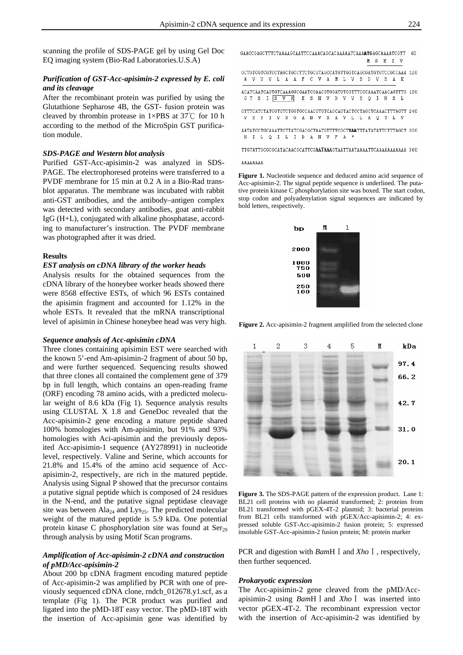scanning the profile of SDS-PAGE gel by using Gel Doc EQ imaging system (Bio-Rad Laboratories.U.S.A)

# *Purification of GST-Acc-apisimin-2 expressed by E. coli and its cleavage*

After the recombinant protein was purified by using the Glutathione Sepharose 4B, the GST- fusion protein was cleaved by thrombin protease in 1×PBS at 37℃ for 10 h according to the method of the MicroSpin GST purification module.

#### *SDS-PAGE and Western blot analysis*

Purified GST-Acc-apisimin-2 was analyzed in SDS-PAGE. The electrophoresed proteins were transferred to a PVDF membrane for 15 min at 0.2 A in a Bio-Rad transblot apparatus. The membrane was incubated with rabbit anti-GST antibodies, and the antibody–antigen complex was detected with secondary antibodies, goat anti-rabbit IgG (H+L), conjugated with alkaline phosphatase, according to manufacturer's instruction. The PVDF membrane was photographed after it was dried.

#### **Results**

#### *EST analysis on cDNA library of the worker heads*

Analysis results for the obtained sequences from the cDNA library of the honeybee worker heads showed there were 8568 effective ESTs, of which 96 ESTs contained the apisimin fragment and accounted for 1.12% in the whole ESTs. It revealed that the mRNA transcriptional level of apisimin in Chinese honeybee head was very high.

### *Sequence analysis of Acc-apisimin cDNA*

Three clones containing apisimin EST were searched with the known 5'-end Am-apisimin-2 fragment of about 50 bp, and were further sequenced. Sequencing results showed that three clones all contained the complement gene of 379 bp in full length, which contains an open-reading frame (ORF) encoding 78 amino acids, with a predicted molecular weight of 8.6 kDa (Fig 1). Sequence analysis results using CLUSTAL X 1.8 and GeneDoc revealed that the Acc-apisimin-2 gene encoding a mature peptide shared 100% homologies with Am-apisimin*,* but 91% and 93% homologies with Aci-apisimin and the previously deposited Acc-apisimin-1 sequence (AY278991) in nucleotide level, respectively. Valine and Serine, which accounts for 21.8% and 15.4% of the amino acid sequence of Accapisimin-2, respectively, are rich in the matured peptide. Analysis using Signal P showed that the precursor contains a putative signal peptide which is composed of 24 residues in the N-end, and the putative signal peptidase cleavage site was between  $\text{Ala}_{24}$  and Lys<sub>25</sub>. The predicted molecular weight of the matured peptide is 5.9 kDa. One potential protein kinase C phosphorylation site was found at  $Ser_{29}$ through analysis by using Motif Scan programs.

# *Amplification of Acc-apisimin-2 cDNA and construction of pMD/Acc-apisimin-2*

About 200 bp cDNA fragment encoding matured peptide of Acc-apisimin-2 was amplified by PCR with one of previously sequenced cDNA clone, rndcb\_012678.y1.scf, as a template (Fig 1). The PCR product was purified and ligated into the pMD-18T easy vector. The pMD-18T with the insertion of Acc-apisimin gene was identified by

|  |  |  |                                         |  |  |  |  |  |  | GCTGTCGTCGTCCTAGCTGCCTTCTGCGTAGCCATGTTGGTCAGCGATGTGTCCGCCAAA 12D |                                                                           |
|--|--|--|-----------------------------------------|--|--|--|--|--|--|------------------------------------------------------------------|---------------------------------------------------------------------------|
|  |  |  | A V V V L A A F C V A M L V S D V S A K |  |  |  |  |  |  |                                                                  |                                                                           |
|  |  |  |                                         |  |  |  |  |  |  | ACATCAATCAGTGTCAAAGGCGAATCGAACGTGGATGTCGTTTCCCAAATCAACAGTTTG 18D |                                                                           |
|  |  |  | GT SI SV K ESN V D V V S Q I N S L      |  |  |  |  |  |  |                                                                  |                                                                           |
|  |  |  |                                         |  |  |  |  |  |  |                                                                  | GTTTCATCTATCGTGTCTGGTGCCAACGTGTCAGCAGTACTCCTAGCTCAAACTTTAGTT_240          |
|  |  |  | V S S I V S G A N V S A V L L A O T L V |  |  |  |  |  |  |                                                                  |                                                                           |
|  |  |  |                                         |  |  |  |  |  |  |                                                                  | AATATCCTGCAAATTCTTATCGACGCTAATGTTTTCGCT <b>TAA</b> TTTATATATTCTTTAGCT 300 |
|  |  |  | NILOILIDANVFA*                          |  |  |  |  |  |  |                                                                  |                                                                           |
|  |  |  |                                         |  |  |  |  |  |  |                                                                  | TTGTATTGCGCGCATACAACGCATTCG <b>AATAAA</b> GTAATTAATAAAATTCAAAAAAAAAAA 360 |

#### AAAAAAAA

**Figure 1.** Nucleotide sequence and deduced amino acid sequence of Acc-apisimin-2. The signal peptide sequence is underlined. The putative protein kinase C phosphorylation site was boxed. The start codon, stop codon and polyadenylation signal sequences are indicated by bold letters, respectively.



**Figure 2.** Acc-apisimin-2 fragment amplified from the selected clone



**Figure 3.** The SDS-PAGE pattern of the expression product. Lane 1: BL21 cell proteins with no plasmid transformed; 2: proteins from BL21 transformed with pGEX-4T-2 plasmid; 3: bacterial proteins from BL21 cells transformed with pGEX/Acc-apisimin-2; 4: expressed soluble GST-Acc-apisimin-2 fusion protein; 5: expressed insoluble GST-Acc-apisimin-2 fusion protein; M: protein marker

PCR and digestion with *BamH* Ⅰ and *Xho* Ⅰ, respectively, then further sequenced.

#### *Prokaryotic expression*

The Acc-apisimin-2 gene cleaved from the pMD/Accapisimin-2 using *Bam*HⅠand *Xho*Ⅰ was inserted into vector pGEX-4T-2. The recombinant expression vector with the insertion of Acc-apisimin-2 was identified by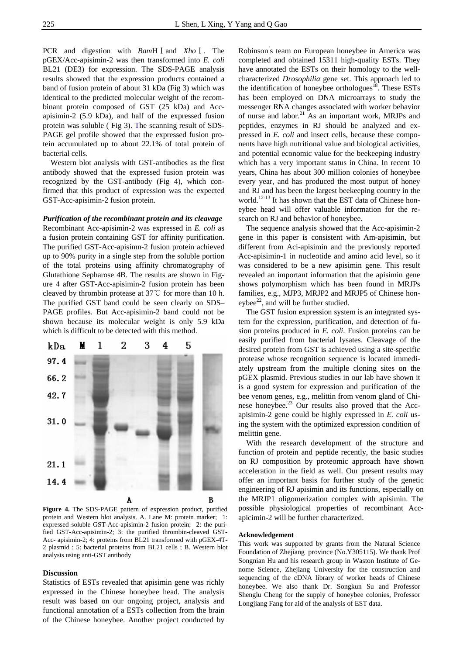PCR and digestion with *Bam*HⅠand *Xho*Ⅰ. The pGEX/Acc-apisimin-2 was then transformed into *E. coli* BL21 (DE3) for expression. The SDS-PAGE analysi**s**  results showed that the expression products contained a band of fusion protein of about 31 kDa (Fig 3) which was identical to the predicted molecular weight of the recombinant protein composed of GST (25 kDa) and Accapisimin-2 (5.9 kDa), and half of the expressed fusion protein was soluble ( Fig 3). The scanning result of SDS-PAGE gel profile showed that the expressed fusion protein accumulated up to about 22.1% of total protein of bacterial cells.

Western blot analysis with GST-antibodies as the first antibody showed that the expressed fusion protein was recognized by the GST-antibody (Fig 4), which confirmed that this product of expression was the expected GST-Acc-apisimin-2 fusion protein.

## *Purification of the recombinant protein and its cleavage*

Recombinant Acc-apisimin-2 was expressed in *E. coli* as a fusion protein containing GST for affinity purification. The purified GST-Acc-apisimn-2 fusion protein achieved up to 90% purity in a single step from the soluble portion of the total proteins using affinity chromatography of Glutathione Sepharose 4B. The results are shown in Figure 4 after GST-Acc-apisimin-2 fusion protein has been cleaved by thrombin protease at 37℃ for more than 10 h. The purified GST band could be seen clearly on SDS– PAGE profiles. But Acc-apisimin-2 band could not be shown because its molecular weight is only 5.9 kDa which is difficult to be detected with this method.



**Figure 4.** The SDS-PAGE pattern of expression product, purified protein and Western blot analysis. A. Lane M: protein marker; 1: expressed soluble GST-Acc-apisimin-2 fusion protein; 2: the purified GST-Acc-apisimin-2; 3: the purified thrombin-cleaved GST-Acc- apisimin-2; 4: proteins from BL21 transformed with pGEX-4T-2 plasmid ; 5: bacterial proteins from BL21 cells ; B. Western blot analysis using anti-GST antibody

#### **Discussion**

Statistics of ESTs revealed that apisimin gene was richly expressed in the Chinese honeybee head. The analysis result was based on our ongoing project, analysis and functional annotation of a ESTs collection from the brain of the Chinese honeybee. Another project conducted by

Robinson' s team on European honeybee in America was completed and obtained 15311 high-quality ESTs. They have annotated the ESTs on their homology to the wellcharacterized *Drosophilia* gene set. This approach led to the identification of honeybee orthologues<sup>18</sup>. These ESTs has been employed on DNA microarrays to study the messenger RNA changes associated with worker behavior of nurse and labor.<sup>21</sup> As an important work, MRJPs and peptides, enzymes in RJ should be analyzed and expressed in *E. coli* and insect cells, because these components have high nutritional value and biological activities, and potential economic value for the beekeeping industry which has a very important status in China. In recent 10 years, China has about 300 million colonies of honeybee every year, and has produced the most output of honey and RJ and has been the largest beekeeping country in the world.<sup>12-13</sup> It has shown that the EST data of Chinese honeybee head will offer valuable information for the research on RJ and behavior of honeybee.

The sequence analysis showed that the Acc-apisimin-2 gene in this paper is consistent with Am-apisimin, but different from Aci-apisimin and the previously reported Acc-apisimin-1 in nucleotide and amino acid level, so it was considered to be a new apisimin gene. This result revealed an important information that the apisimin gene shows polymorphism which has been found in MRJPs families, e.g., MJP3, MRJP2 and MRJP5 of Chinese honeybee $^{22}$ , and will be further studied.

The GST fusion expression system is an integrated system for the expression, purification, and detection of fusion proteins produced in *E. coli*. Fusion proteins can be easily purified from bacterial lysates. Cleavage of the desired protein from GST is achieved using a site-specific protease whose recognition sequence is located immediately upstream from the multiple cloning sites on the pGEX plasmid. Previous studies in our lab have shown it is a good system for expression and purification of the bee venom genes, e.g., melittin from venom gland of Chinese honeybee.23 Our results also proved that the Accapisimin-2 gene could be highly expressed in *E. coli* using the system with the optimized expression condition of melittin gene*.*

With the research development of the structure and function of protein and peptide recently, the basic studies on RJ composition by proteomic approach have shown acceleration in the field as well. Our present results may offer an important basis for further study of the genetic engineering of RJ apisimin and its functions, especially on the MRJP1 oligomerization complex with apisimin. The possible physiological properties of recombinant Accapicimin-2 will be further characterized.

### **Acknowledgement**

This work was supported by grants from the Natural Science Foundation of Zhejiang province (No.Y305115). We thank Prof Songnian Hu and his research group in Waston Institute of Genome Science, Zhejiang University for the construction and sequencing of the cDNA library of worker heads of Chinese honeybee. We also thank Dr. Songkun Su and Professor Shenglu Cheng for the supply of honeybee colonies, Professor Longjiang Fang for aid of the analysis of EST data.